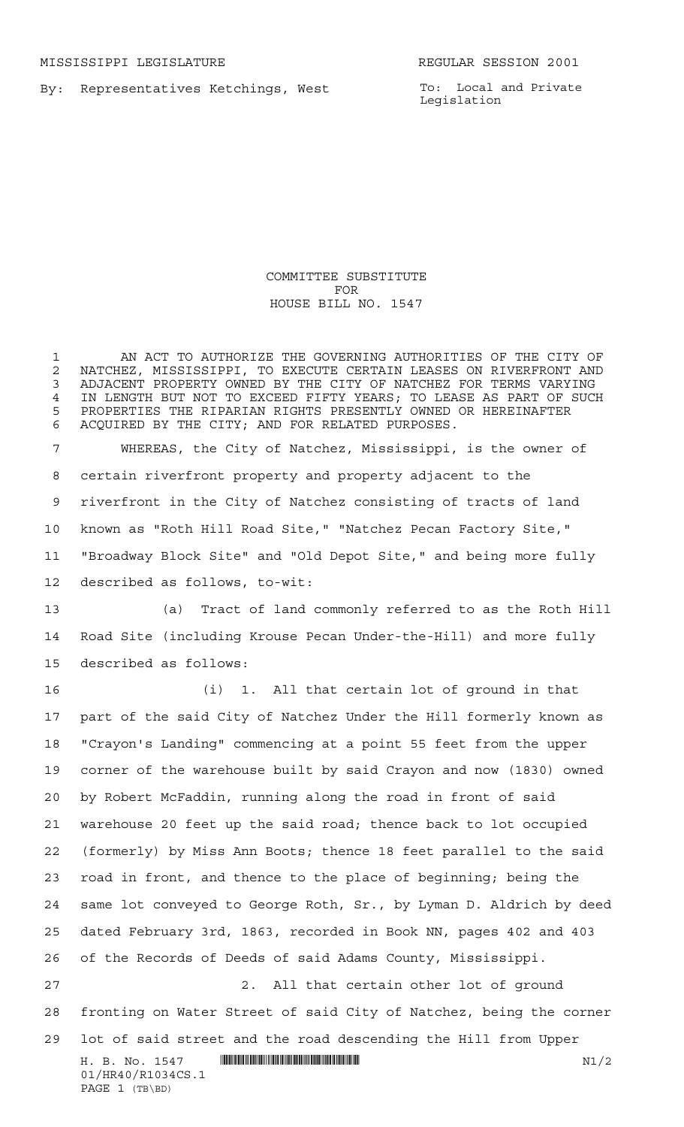By: Representatives Ketchings, West

To: Local and Private Legislation

COMMITTEE SUBSTITUTE FOR HOUSE BILL NO. 1547

 $H. B. NO. 1547$  HRANDING HALLOWING HALLOWING HALLOWING  $N1/2$ 01/HR40/R1034CS.1 PAGE 1 (TB\BD) AN ACT TO AUTHORIZE THE GOVERNING AUTHORITIES OF THE CITY OF 2 NATCHEZ, MISSISSIPPI, TO EXECUTE CERTAIN LEASES ON RIVERFRONT AND<br>3 ADJACENT PROPERTY OWNED BY THE CITY OF NATCHEZ FOR TERMS VARYING ADJACENT PROPERTY OWNED BY THE CITY OF NATCHEZ FOR TERMS VARYING IN LENGTH BUT NOT TO EXCEED FIFTY YEARS; TO LEASE AS PART OF SUCH PROPERTIES THE RIPARIAN RIGHTS PRESENTLY OWNED OR HEREINAFTER ACQUIRED BY THE CITY; AND FOR RELATED PURPOSES. WHEREAS, the City of Natchez, Mississippi, is the owner of certain riverfront property and property adjacent to the riverfront in the City of Natchez consisting of tracts of land known as "Roth Hill Road Site," "Natchez Pecan Factory Site," "Broadway Block Site" and "Old Depot Site," and being more fully described as follows, to-wit: (a) Tract of land commonly referred to as the Roth Hill Road Site (including Krouse Pecan Under-the-Hill) and more fully described as follows: (i) 1. All that certain lot of ground in that part of the said City of Natchez Under the Hill formerly known as "Crayon's Landing" commencing at a point 55 feet from the upper corner of the warehouse built by said Crayon and now (1830) owned by Robert McFaddin, running along the road in front of said warehouse 20 feet up the said road; thence back to lot occupied (formerly) by Miss Ann Boots; thence 18 feet parallel to the said road in front, and thence to the place of beginning; being the same lot conveyed to George Roth, Sr., by Lyman D. Aldrich by deed dated February 3rd, 1863, recorded in Book NN, pages 402 and 403 of the Records of Deeds of said Adams County, Mississippi. 2. All that certain other lot of ground fronting on Water Street of said City of Natchez, being the corner lot of said street and the road descending the Hill from Upper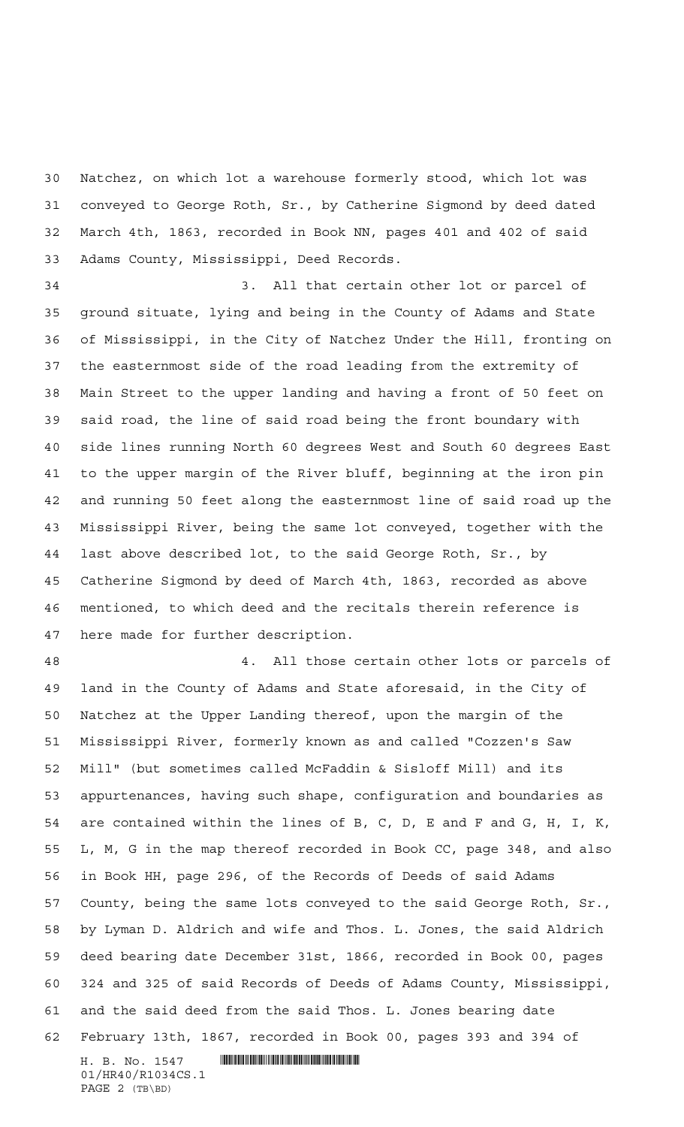Natchez, on which lot a warehouse formerly stood, which lot was conveyed to George Roth, Sr., by Catherine Sigmond by deed dated March 4th, 1863, recorded in Book NN, pages 401 and 402 of said Adams County, Mississippi, Deed Records.

 3. All that certain other lot or parcel of ground situate, lying and being in the County of Adams and State of Mississippi, in the City of Natchez Under the Hill, fronting on the easternmost side of the road leading from the extremity of Main Street to the upper landing and having a front of 50 feet on said road, the line of said road being the front boundary with side lines running North 60 degrees West and South 60 degrees East to the upper margin of the River bluff, beginning at the iron pin and running 50 feet along the easternmost line of said road up the Mississippi River, being the same lot conveyed, together with the last above described lot, to the said George Roth, Sr., by Catherine Sigmond by deed of March 4th, 1863, recorded as above mentioned, to which deed and the recitals therein reference is here made for further description.

 $H. \quad B. \quad NO. \quad 1547$  . HENGING THE SET OF THE SET OF THE SET OF THE SET OF THE SET OF THE SET OF THE SET OF THE SET OF THE SET OF THE SET OF THE SET OF THE SET OF THE SET OF THE SET OF THE SET OF THE SET OF THE SET OF THE 4. All those certain other lots or parcels of land in the County of Adams and State aforesaid, in the City of Natchez at the Upper Landing thereof, upon the margin of the Mississippi River, formerly known as and called "Cozzen's Saw Mill" (but sometimes called McFaddin & Sisloff Mill) and its appurtenances, having such shape, configuration and boundaries as are contained within the lines of B, C, D, E and F and G, H, I, K, L, M, G in the map thereof recorded in Book CC, page 348, and also in Book HH, page 296, of the Records of Deeds of said Adams County, being the same lots conveyed to the said George Roth, Sr., by Lyman D. Aldrich and wife and Thos. L. Jones, the said Aldrich deed bearing date December 31st, 1866, recorded in Book 00, pages 324 and 325 of said Records of Deeds of Adams County, Mississippi, and the said deed from the said Thos. L. Jones bearing date February 13th, 1867, recorded in Book 00, pages 393 and 394 of

01/HR40/R1034CS.1 PAGE 2 (TB\BD)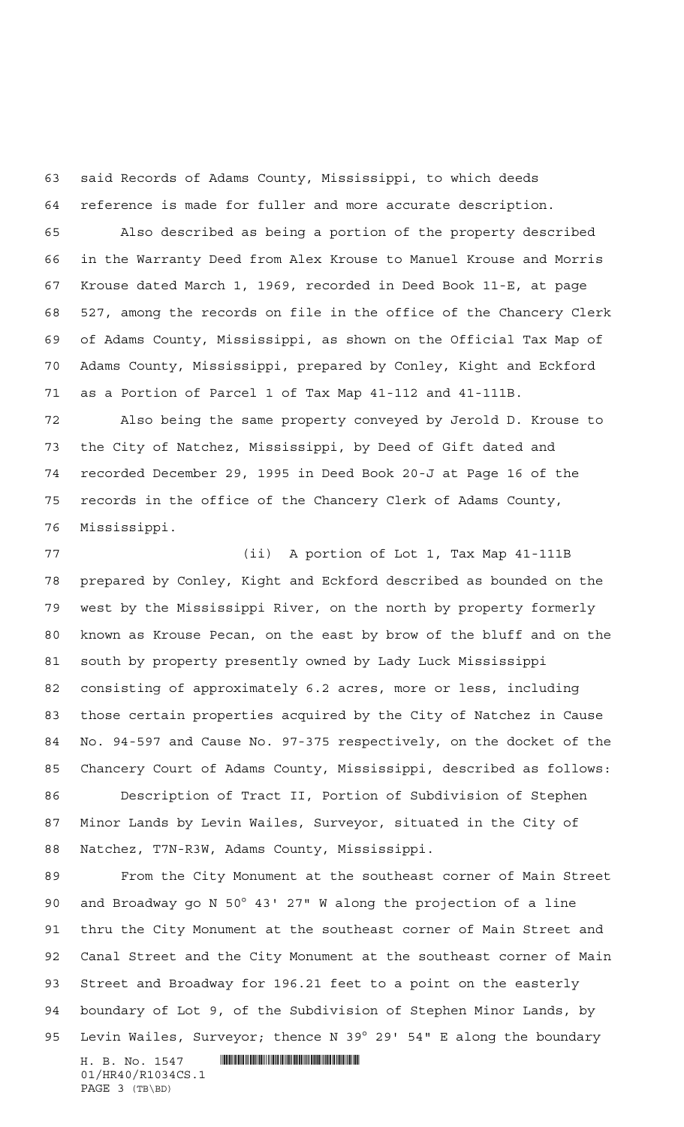said Records of Adams County, Mississippi, to which deeds reference is made for fuller and more accurate description.

 Also described as being a portion of the property described in the Warranty Deed from Alex Krouse to Manuel Krouse and Morris Krouse dated March 1, 1969, recorded in Deed Book 11-E, at page 527, among the records on file in the office of the Chancery Clerk of Adams County, Mississippi, as shown on the Official Tax Map of Adams County, Mississippi, prepared by Conley, Kight and Eckford as a Portion of Parcel 1 of Tax Map 41-112 and 41-111B.

 Also being the same property conveyed by Jerold D. Krouse to the City of Natchez, Mississippi, by Deed of Gift dated and recorded December 29, 1995 in Deed Book 20-J at Page 16 of the records in the office of the Chancery Clerk of Adams County, Mississippi.

 (ii) A portion of Lot 1, Tax Map 41-111B prepared by Conley, Kight and Eckford described as bounded on the west by the Mississippi River, on the north by property formerly known as Krouse Pecan, on the east by brow of the bluff and on the south by property presently owned by Lady Luck Mississippi consisting of approximately 6.2 acres, more or less, including those certain properties acquired by the City of Natchez in Cause No. 94-597 and Cause No. 97-375 respectively, on the docket of the Chancery Court of Adams County, Mississippi, described as follows: Description of Tract II, Portion of Subdivision of Stephen Minor Lands by Levin Wailes, Surveyor, situated in the City of Natchez, T7N-R3W, Adams County, Mississippi.

 From the City Monument at the southeast corner of Main Street and Broadway go N 50° 43' 27" W along the projection of a line thru the City Monument at the southeast corner of Main Street and Canal Street and the City Monument at the southeast corner of Main Street and Broadway for 196.21 feet to a point on the easterly boundary of Lot 9, of the Subdivision of Stephen Minor Lands, by Levin Wailes, Surveyor; thence N 39° 29' 54" E along the boundary

 $H. \quad B. \quad NO. \quad 1547$  . HENGING THE SET OF THE SET OF THE SET OF THE SET OF THE SET OF THE SET OF THE SET OF THE SET OF THE SET OF THE SET OF THE SET OF THE SET OF THE SET OF THE SET OF THE SET OF THE SET OF THE SET OF THE 01/HR40/R1034CS.1 PAGE 3 (TB\BD)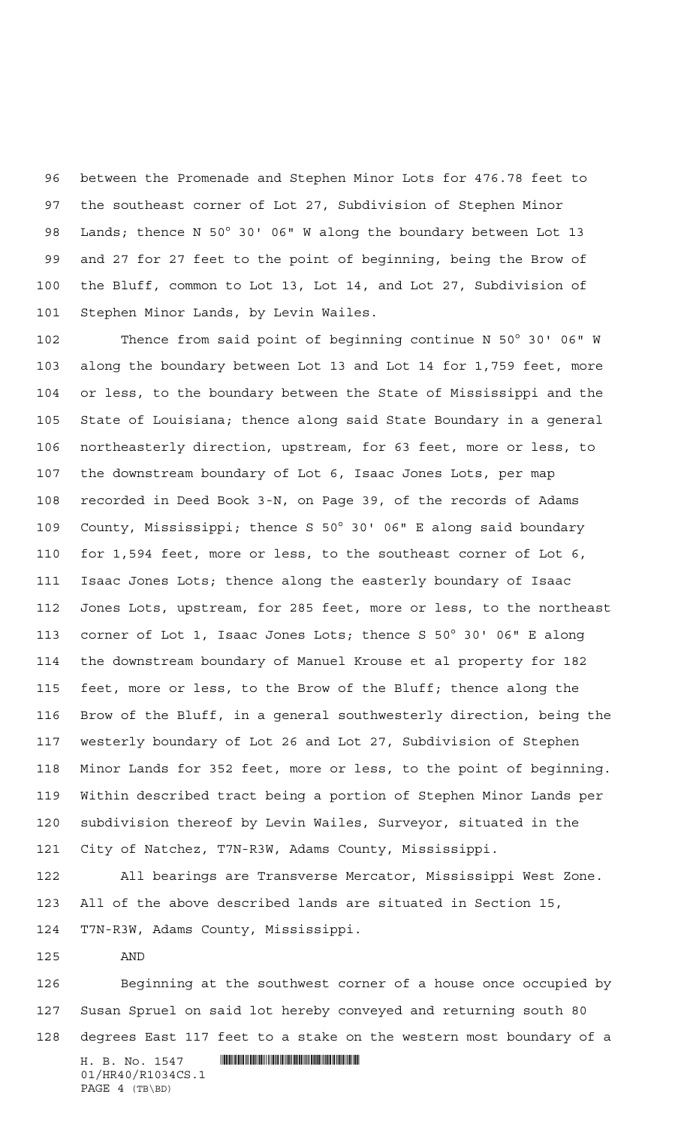between the Promenade and Stephen Minor Lots for 476.78 feet to the southeast corner of Lot 27, Subdivision of Stephen Minor Lands; thence N 50° 30' 06" W along the boundary between Lot 13 and 27 for 27 feet to the point of beginning, being the Brow of the Bluff, common to Lot 13, Lot 14, and Lot 27, Subdivision of Stephen Minor Lands, by Levin Wailes.

 Thence from said point of beginning continue N 50° 30' 06" W along the boundary between Lot 13 and Lot 14 for 1,759 feet, more or less, to the boundary between the State of Mississippi and the State of Louisiana; thence along said State Boundary in a general northeasterly direction, upstream, for 63 feet, more or less, to the downstream boundary of Lot 6, Isaac Jones Lots, per map recorded in Deed Book 3-N, on Page 39, of the records of Adams County, Mississippi; thence S 50° 30' 06" E along said boundary for 1,594 feet, more or less, to the southeast corner of Lot 6, Isaac Jones Lots; thence along the easterly boundary of Isaac Jones Lots, upstream, for 285 feet, more or less, to the northeast corner of Lot 1, Isaac Jones Lots; thence S 50° 30' 06" E along the downstream boundary of Manuel Krouse et al property for 182 feet, more or less, to the Brow of the Bluff; thence along the Brow of the Bluff, in a general southwesterly direction, being the westerly boundary of Lot 26 and Lot 27, Subdivision of Stephen Minor Lands for 352 feet, more or less, to the point of beginning. Within described tract being a portion of Stephen Minor Lands per subdivision thereof by Levin Wailes, Surveyor, situated in the City of Natchez, T7N-R3W, Adams County, Mississippi.

 All bearings are Transverse Mercator, Mississippi West Zone. All of the above described lands are situated in Section 15, T7N-R3W, Adams County, Mississippi.

AND

 Beginning at the southwest corner of a house once occupied by Susan Spruel on said lot hereby conveyed and returning south 80 degrees East 117 feet to a stake on the western most boundary of a

H. B. No. 1547 **HALLA** COMMUNISION CONTROL NATURE 01/HR40/R1034CS.1 PAGE 4 (TB\BD)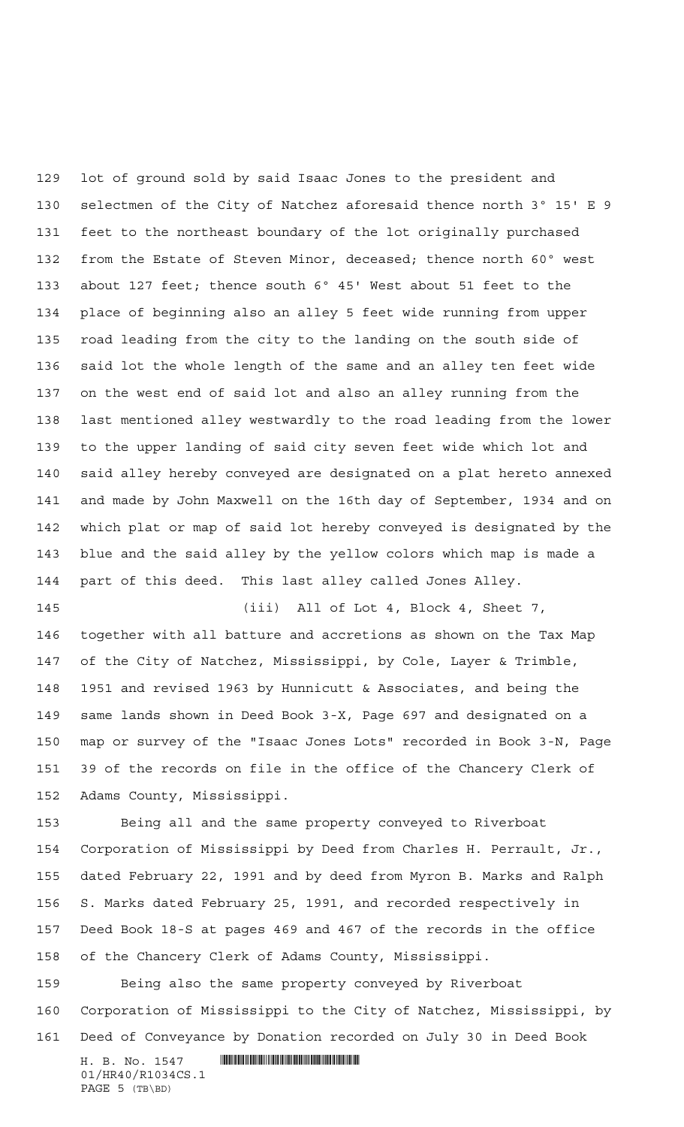lot of ground sold by said Isaac Jones to the president and selectmen of the City of Natchez aforesaid thence north 3º 15' E 9 feet to the northeast boundary of the lot originally purchased from the Estate of Steven Minor, deceased; thence north 60º west about 127 feet; thence south 6º 45' West about 51 feet to the place of beginning also an alley 5 feet wide running from upper road leading from the city to the landing on the south side of said lot the whole length of the same and an alley ten feet wide on the west end of said lot and also an alley running from the last mentioned alley westwardly to the road leading from the lower to the upper landing of said city seven feet wide which lot and said alley hereby conveyed are designated on a plat hereto annexed and made by John Maxwell on the 16th day of September, 1934 and on which plat or map of said lot hereby conveyed is designated by the blue and the said alley by the yellow colors which map is made a part of this deed. This last alley called Jones Alley. (iii) All of Lot 4, Block 4, Sheet 7,

 together with all batture and accretions as shown on the Tax Map of the City of Natchez, Mississippi, by Cole, Layer & Trimble, 1951 and revised 1963 by Hunnicutt & Associates, and being the same lands shown in Deed Book 3-X, Page 697 and designated on a map or survey of the "Isaac Jones Lots" recorded in Book 3-N, Page 39 of the records on file in the office of the Chancery Clerk of Adams County, Mississippi.

 Being all and the same property conveyed to Riverboat Corporation of Mississippi by Deed from Charles H. Perrault, Jr., dated February 22, 1991 and by deed from Myron B. Marks and Ralph S. Marks dated February 25, 1991, and recorded respectively in Deed Book 18-S at pages 469 and 467 of the records in the office of the Chancery Clerk of Adams County, Mississippi.

 Being also the same property conveyed by Riverboat Corporation of Mississippi to the City of Natchez, Mississippi, by Deed of Conveyance by Donation recorded on July 30 in Deed Book

 $H. \quad B. \quad NO. \quad 1547$  . HENGING THE SET OF THE SET OF THE SET OF THE SET OF THE SET OF THE SET OF THE SET OF THE SET OF THE SET OF THE SET OF THE SET OF THE SET OF THE SET OF THE SET OF THE SET OF THE SET OF THE SET OF THE 01/HR40/R1034CS.1 PAGE 5 (TB\BD)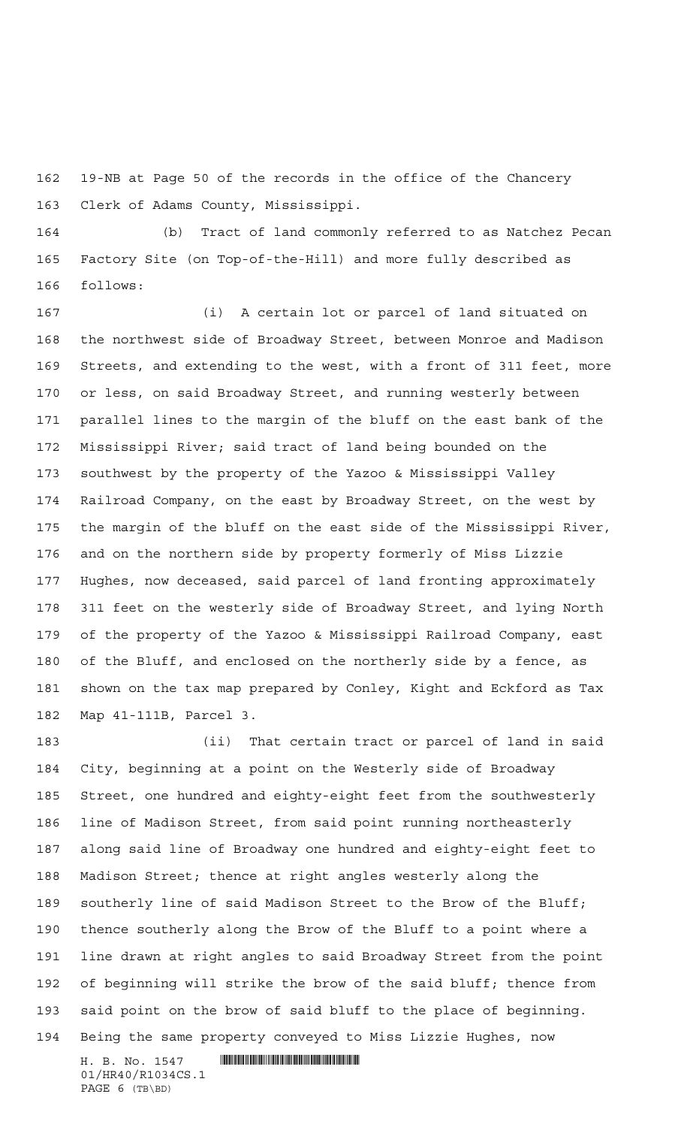19-NB at Page 50 of the records in the office of the Chancery Clerk of Adams County, Mississippi.

 (b) Tract of land commonly referred to as Natchez Pecan Factory Site (on Top-of-the-Hill) and more fully described as follows:

 (i) A certain lot or parcel of land situated on the northwest side of Broadway Street, between Monroe and Madison Streets, and extending to the west, with a front of 311 feet, more or less, on said Broadway Street, and running westerly between parallel lines to the margin of the bluff on the east bank of the Mississippi River; said tract of land being bounded on the southwest by the property of the Yazoo & Mississippi Valley Railroad Company, on the east by Broadway Street, on the west by the margin of the bluff on the east side of the Mississippi River, and on the northern side by property formerly of Miss Lizzie Hughes, now deceased, said parcel of land fronting approximately 311 feet on the westerly side of Broadway Street, and lying North of the property of the Yazoo & Mississippi Railroad Company, east of the Bluff, and enclosed on the northerly side by a fence, as shown on the tax map prepared by Conley, Kight and Eckford as Tax Map 41-111B, Parcel 3.

 (ii) That certain tract or parcel of land in said City, beginning at a point on the Westerly side of Broadway Street, one hundred and eighty-eight feet from the southwesterly line of Madison Street, from said point running northeasterly along said line of Broadway one hundred and eighty-eight feet to Madison Street; thence at right angles westerly along the southerly line of said Madison Street to the Brow of the Bluff; thence southerly along the Brow of the Bluff to a point where a line drawn at right angles to said Broadway Street from the point of beginning will strike the brow of the said bluff; thence from said point on the brow of said bluff to the place of beginning. Being the same property conveyed to Miss Lizzie Hughes, now

 $H. \quad B. \quad NO. \quad 1547$  . HENGING THE SET OF THE SET OF THE SET OF THE SET OF THE SET OF THE SET OF THE SET OF THE SET OF THE SET OF THE SET OF THE SET OF THE SET OF THE SET OF THE SET OF THE SET OF THE SET OF THE SET OF THE 01/HR40/R1034CS.1 PAGE 6 (TB\BD)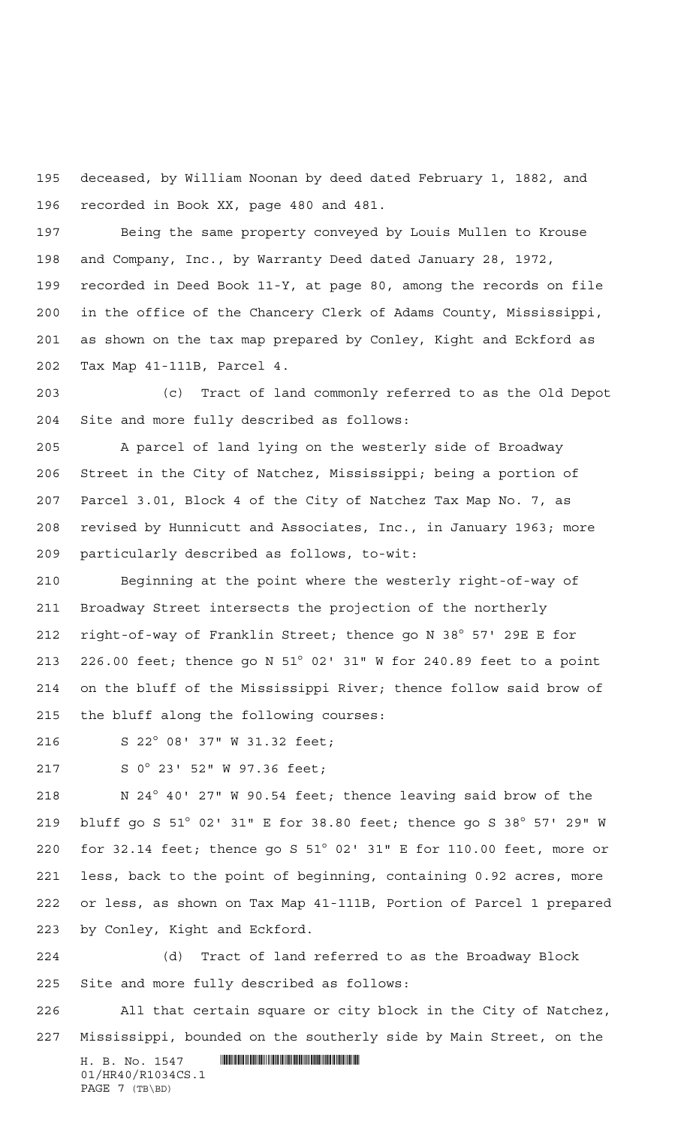deceased, by William Noonan by deed dated February 1, 1882, and recorded in Book XX, page 480 and 481.

 Being the same property conveyed by Louis Mullen to Krouse and Company, Inc., by Warranty Deed dated January 28, 1972, recorded in Deed Book 11-Y, at page 80, among the records on file in the office of the Chancery Clerk of Adams County, Mississippi, as shown on the tax map prepared by Conley, Kight and Eckford as Tax Map 41-111B, Parcel 4.

 (c) Tract of land commonly referred to as the Old Depot Site and more fully described as follows:

 A parcel of land lying on the westerly side of Broadway Street in the City of Natchez, Mississippi; being a portion of Parcel 3.01, Block 4 of the City of Natchez Tax Map No. 7, as revised by Hunnicutt and Associates, Inc., in January 1963; more particularly described as follows, to-wit:

 Beginning at the point where the westerly right-of-way of Broadway Street intersects the projection of the northerly right-of-way of Franklin Street; thence go N 38° 57' 29E E for 226.00 feet; thence go N 51° 02' 31" W for 240.89 feet to a point on the bluff of the Mississippi River; thence follow said brow of the bluff along the following courses:

S 22° 08' 37" W 31.32 feet;

S 0° 23' 52" W 97.36 feet;

 N 24° 40' 27" W 90.54 feet; thence leaving said brow of the bluff go S 51° 02' 31" E for 38.80 feet; thence go S 38° 57' 29" W for 32.14 feet; thence go S 51° 02' 31" E for 110.00 feet, more or less, back to the point of beginning, containing 0.92 acres, more or less, as shown on Tax Map 41-111B, Portion of Parcel 1 prepared by Conley, Kight and Eckford.

 (d) Tract of land referred to as the Broadway Block Site and more fully described as follows:

 All that certain square or city block in the City of Natchez, Mississippi, bounded on the southerly side by Main Street, on the

 $H. \quad B. \quad NO. \quad 1547$  . HENGING THE SET OF THE SET OF THE SET OF THE SET OF THE SET OF THE SET OF THE SET OF THE SET OF THE SET OF THE SET OF THE SET OF THE SET OF THE SET OF THE SET OF THE SET OF THE SET OF THE SET OF THE 01/HR40/R1034CS.1 PAGE 7 (TB\BD)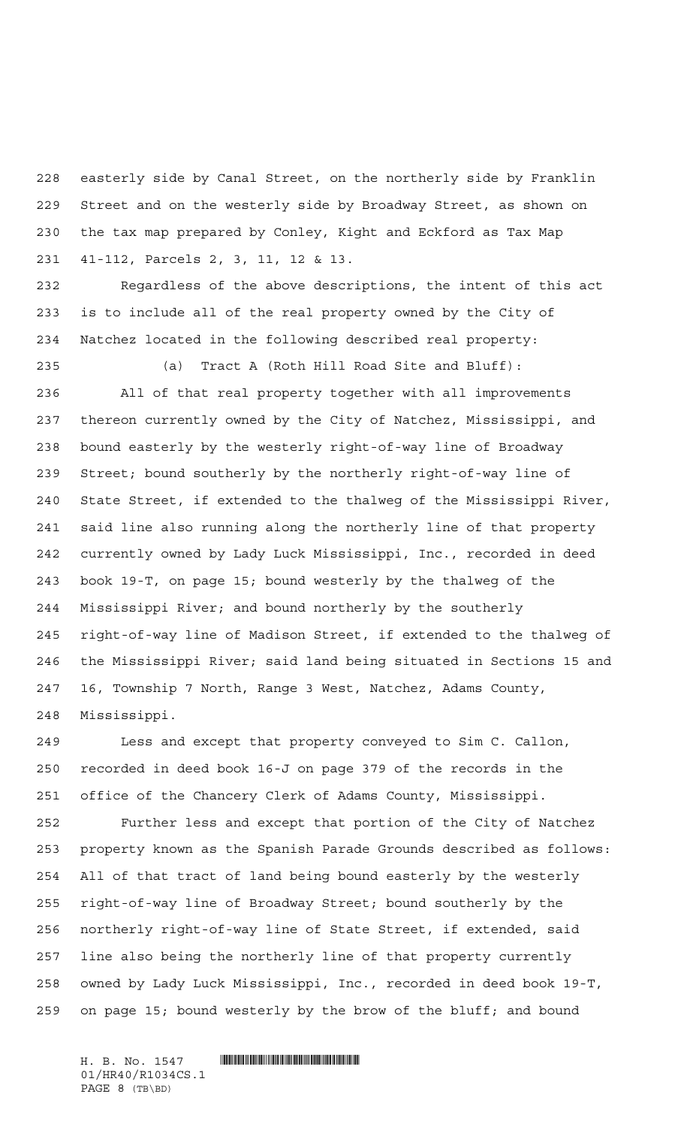easterly side by Canal Street, on the northerly side by Franklin Street and on the westerly side by Broadway Street, as shown on the tax map prepared by Conley, Kight and Eckford as Tax Map 41-112, Parcels 2, 3, 11, 12 & 13.

 Regardless of the above descriptions, the intent of this act is to include all of the real property owned by the City of Natchez located in the following described real property:

 (a) Tract A (Roth Hill Road Site and Bluff): All of that real property together with all improvements thereon currently owned by the City of Natchez, Mississippi, and bound easterly by the westerly right-of-way line of Broadway Street; bound southerly by the northerly right-of-way line of State Street, if extended to the thalweg of the Mississippi River, said line also running along the northerly line of that property currently owned by Lady Luck Mississippi, Inc., recorded in deed book 19-T, on page 15; bound westerly by the thalweg of the Mississippi River; and bound northerly by the southerly right-of-way line of Madison Street, if extended to the thalweg of the Mississippi River; said land being situated in Sections 15 and 16, Township 7 North, Range 3 West, Natchez, Adams County, Mississippi.

 Less and except that property conveyed to Sim C. Callon, recorded in deed book 16-J on page 379 of the records in the office of the Chancery Clerk of Adams County, Mississippi.

 Further less and except that portion of the City of Natchez property known as the Spanish Parade Grounds described as follows: All of that tract of land being bound easterly by the westerly right-of-way line of Broadway Street; bound southerly by the northerly right-of-way line of State Street, if extended, said line also being the northerly line of that property currently owned by Lady Luck Mississippi, Inc., recorded in deed book 19-T, on page 15; bound westerly by the brow of the bluff; and bound

 $H. \quad B. \quad NO. \quad 1547$  . HENGING THE SET OF THE SET OF THE SET OF THE SET OF THE SET OF THE SET OF THE SET OF THE SET OF THE SET OF THE SET OF THE SET OF THE SET OF THE SET OF THE SET OF THE SET OF THE SET OF THE SET OF THE 01/HR40/R1034CS.1 PAGE 8 (TB\BD)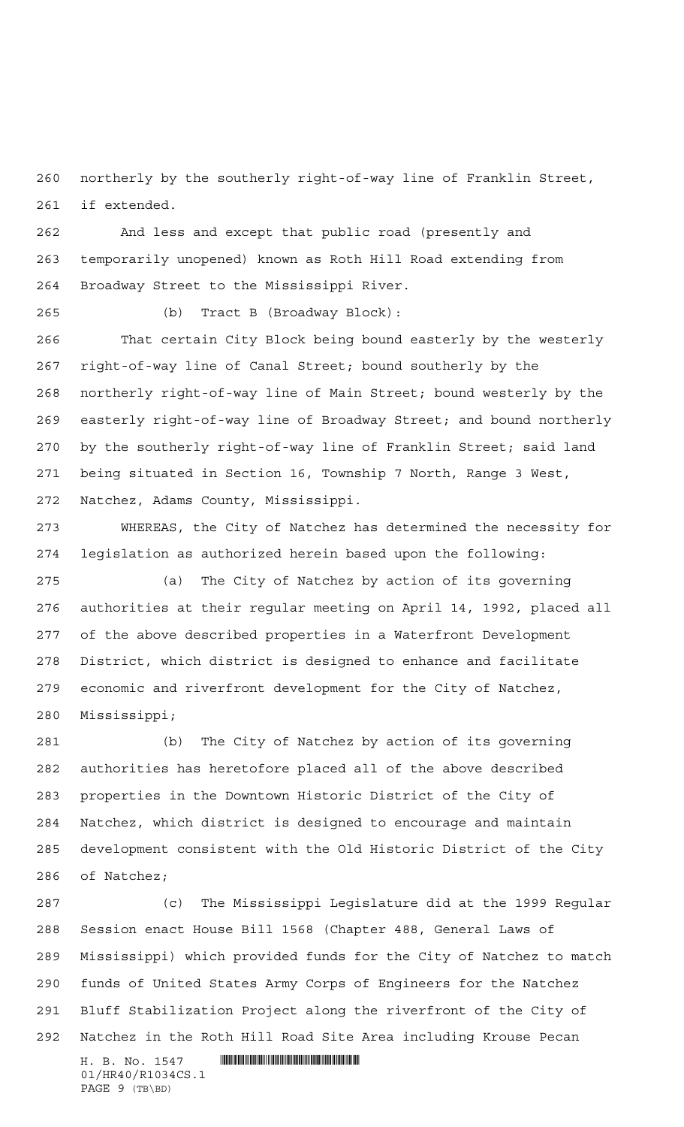northerly by the southerly right-of-way line of Franklin Street, if extended.

 And less and except that public road (presently and temporarily unopened) known as Roth Hill Road extending from Broadway Street to the Mississippi River.

(b) Tract B (Broadway Block):

 That certain City Block being bound easterly by the westerly right-of-way line of Canal Street; bound southerly by the northerly right-of-way line of Main Street; bound westerly by the easterly right-of-way line of Broadway Street; and bound northerly by the southerly right-of-way line of Franklin Street; said land being situated in Section 16, Township 7 North, Range 3 West, Natchez, Adams County, Mississippi.

 WHEREAS, the City of Natchez has determined the necessity for legislation as authorized herein based upon the following:

 (a) The City of Natchez by action of its governing authorities at their regular meeting on April 14, 1992, placed all of the above described properties in a Waterfront Development District, which district is designed to enhance and facilitate economic and riverfront development for the City of Natchez, Mississippi;

 (b) The City of Natchez by action of its governing authorities has heretofore placed all of the above described properties in the Downtown Historic District of the City of Natchez, which district is designed to encourage and maintain development consistent with the Old Historic District of the City of Natchez;

H. B. No. 1547 **HALLA** COMMUNISION CONTROL NATURE (c) The Mississippi Legislature did at the 1999 Regular Session enact House Bill 1568 (Chapter 488, General Laws of Mississippi) which provided funds for the City of Natchez to match funds of United States Army Corps of Engineers for the Natchez Bluff Stabilization Project along the riverfront of the City of Natchez in the Roth Hill Road Site Area including Krouse Pecan

01/HR40/R1034CS.1 PAGE 9 (TB\BD)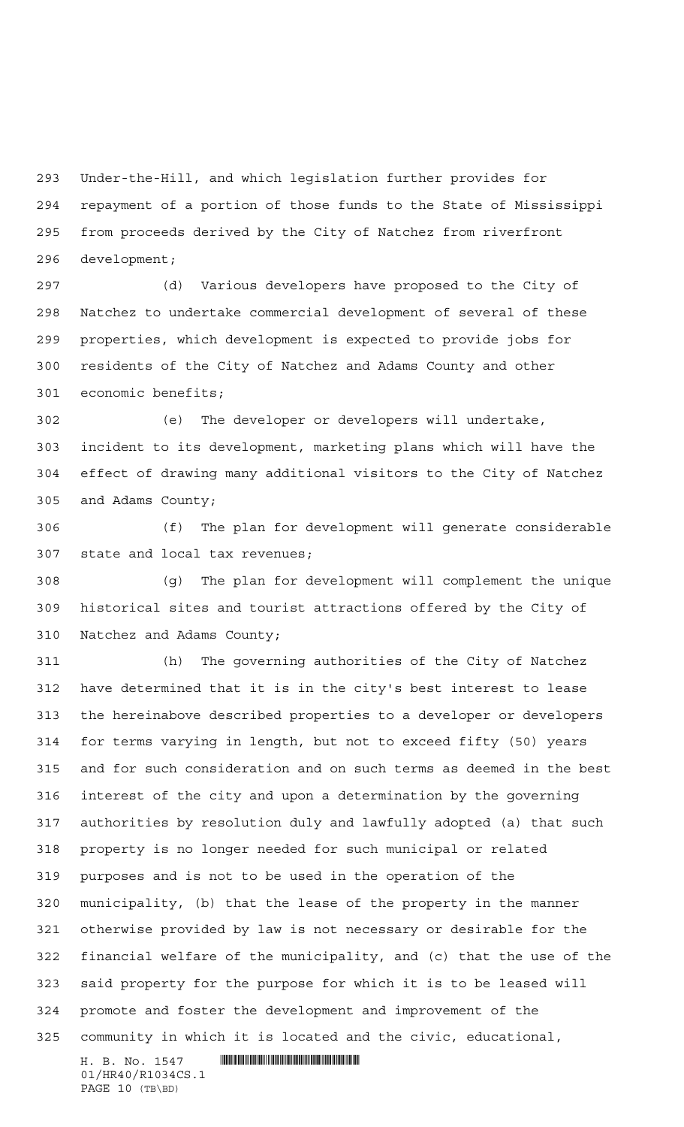Under-the-Hill, and which legislation further provides for repayment of a portion of those funds to the State of Mississippi from proceeds derived by the City of Natchez from riverfront development;

 (d) Various developers have proposed to the City of Natchez to undertake commercial development of several of these properties, which development is expected to provide jobs for residents of the City of Natchez and Adams County and other economic benefits;

 (e) The developer or developers will undertake, incident to its development, marketing plans which will have the effect of drawing many additional visitors to the City of Natchez and Adams County;

 (f) The plan for development will generate considerable state and local tax revenues;

 (g) The plan for development will complement the unique historical sites and tourist attractions offered by the City of Natchez and Adams County;

 (h) The governing authorities of the City of Natchez have determined that it is in the city's best interest to lease the hereinabove described properties to a developer or developers for terms varying in length, but not to exceed fifty (50) years and for such consideration and on such terms as deemed in the best interest of the city and upon a determination by the governing authorities by resolution duly and lawfully adopted (a) that such property is no longer needed for such municipal or related purposes and is not to be used in the operation of the municipality, (b) that the lease of the property in the manner otherwise provided by law is not necessary or desirable for the financial welfare of the municipality, and (c) that the use of the said property for the purpose for which it is to be leased will promote and foster the development and improvement of the community in which it is located and the civic, educational,

 $H. \quad B. \quad NO. \quad 1547$  . HENGING THE SET OF THE SET OF THE SET OF THE SET OF THE SET OF THE SET OF THE SET OF THE SET OF THE SET OF THE SET OF THE SET OF THE SET OF THE SET OF THE SET OF THE SET OF THE SET OF THE SET OF THE 01/HR40/R1034CS.1 PAGE 10 (TB\BD)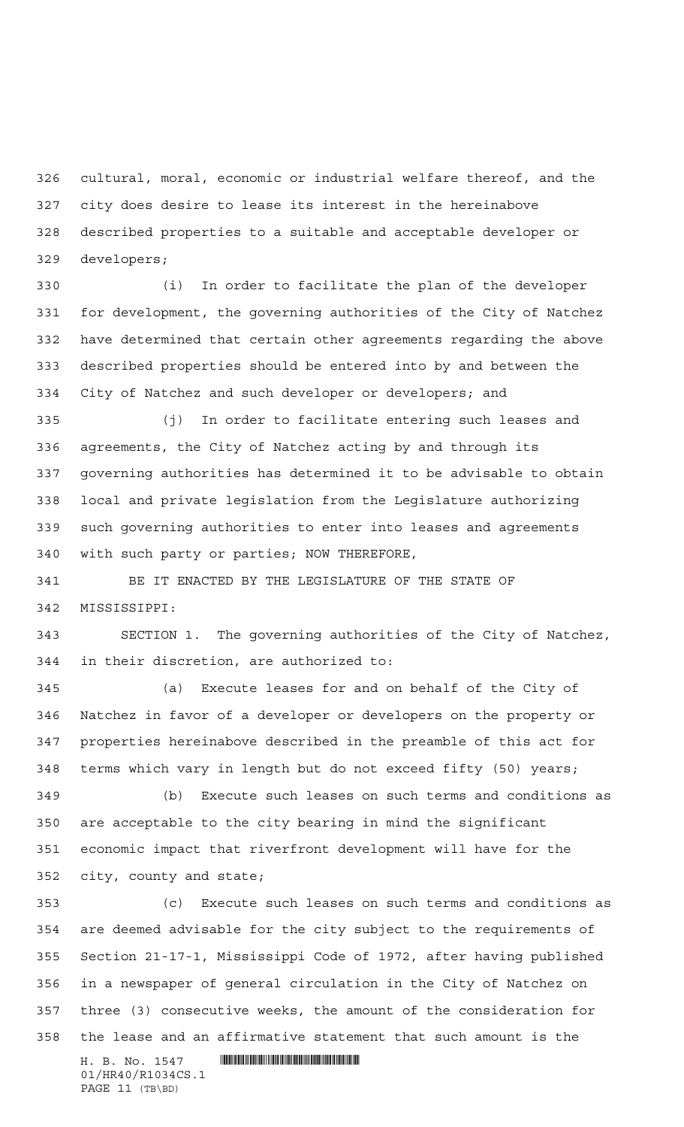cultural, moral, economic or industrial welfare thereof, and the city does desire to lease its interest in the hereinabove described properties to a suitable and acceptable developer or developers;

 (i) In order to facilitate the plan of the developer for development, the governing authorities of the City of Natchez have determined that certain other agreements regarding the above described properties should be entered into by and between the City of Natchez and such developer or developers; and

 (j) In order to facilitate entering such leases and agreements, the City of Natchez acting by and through its governing authorities has determined it to be advisable to obtain local and private legislation from the Legislature authorizing such governing authorities to enter into leases and agreements with such party or parties; NOW THEREFORE,

 BE IT ENACTED BY THE LEGISLATURE OF THE STATE OF MISSISSIPPI:

 SECTION 1. The governing authorities of the City of Natchez, in their discretion, are authorized to:

 (a) Execute leases for and on behalf of the City of Natchez in favor of a developer or developers on the property or properties hereinabove described in the preamble of this act for terms which vary in length but do not exceed fifty (50) years;

 (b) Execute such leases on such terms and conditions as are acceptable to the city bearing in mind the significant economic impact that riverfront development will have for the city, county and state;

H. B. No. 1547 **HALLA** COMMUNISION CONTROL NATURE (c) Execute such leases on such terms and conditions as are deemed advisable for the city subject to the requirements of Section 21-17-1, Mississippi Code of 1972, after having published in a newspaper of general circulation in the City of Natchez on three (3) consecutive weeks, the amount of the consideration for the lease and an affirmative statement that such amount is the

01/HR40/R1034CS.1 PAGE 11 (TB\BD)